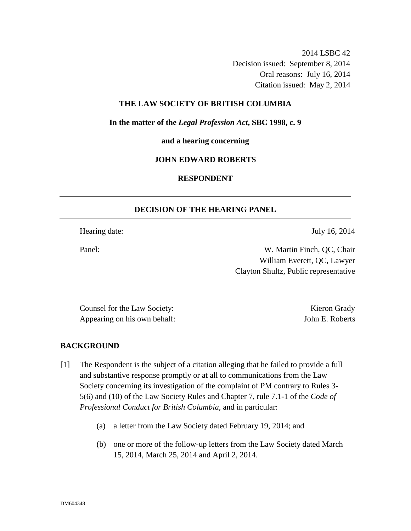2014 LSBC 42 Decision issued: September 8, 2014 Oral reasons: July 16, 2014 Citation issued: May 2, 2014

#### **THE LAW SOCIETY OF BRITISH COLUMBIA**

**In the matter of the** *Legal Profession Act***, SBC 1998, c. 9** 

**and a hearing concerning** 

#### **JOHN EDWARD ROBERTS**

## **RESPONDENT**

#### **DECISION OF THE HEARING PANEL**

Hearing date: July 16, 2014

Panel: W. Martin Finch, QC, Chair William Everett, QC, Lawyer Clayton Shultz, Public representative

Counsel for the Law Society: Kieron Grady Appearing on his own behalf: John E. Roberts

#### **BACKGROUND**

- [1] The Respondent is the subject of a citation alleging that he failed to provide a full and substantive response promptly or at all to communications from the Law Society concerning its investigation of the complaint of PM contrary to Rules 3- 5(6) and (10) of the Law Society Rules and Chapter 7, rule 7.1-1 of the *Code of Professional Conduct for British Columbia*, and in particular:
	- (a) a letter from the Law Society dated February 19, 2014; and
	- (b) one or more of the follow-up letters from the Law Society dated March 15, 2014, March 25, 2014 and April 2, 2014.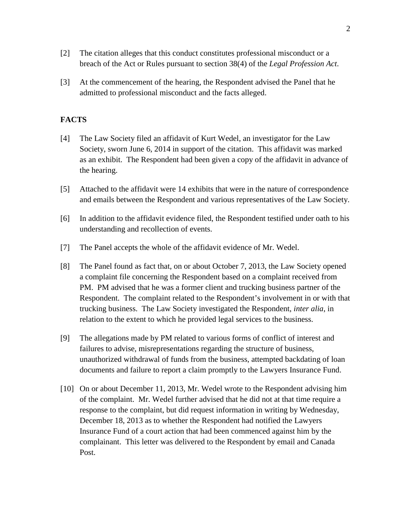- [2] The citation alleges that this conduct constitutes professional misconduct or a breach of the Act or Rules pursuant to section 38(4) of the *Legal Profession Act*.
- [3] At the commencement of the hearing, the Respondent advised the Panel that he admitted to professional misconduct and the facts alleged.

## **FACTS**

- [4] The Law Society filed an affidavit of Kurt Wedel, an investigator for the Law Society, sworn June 6, 2014 in support of the citation. This affidavit was marked as an exhibit. The Respondent had been given a copy of the affidavit in advance of the hearing.
- [5] Attached to the affidavit were 14 exhibits that were in the nature of correspondence and emails between the Respondent and various representatives of the Law Society.
- [6] In addition to the affidavit evidence filed, the Respondent testified under oath to his understanding and recollection of events.
- [7] The Panel accepts the whole of the affidavit evidence of Mr. Wedel.
- [8] The Panel found as fact that, on or about October 7, 2013, the Law Society opened a complaint file concerning the Respondent based on a complaint received from PM. PM advised that he was a former client and trucking business partner of the Respondent. The complaint related to the Respondent's involvement in or with that trucking business. The Law Society investigated the Respondent, *inter alia*, in relation to the extent to which he provided legal services to the business.
- [9] The allegations made by PM related to various forms of conflict of interest and failures to advise, misrepresentations regarding the structure of business, unauthorized withdrawal of funds from the business, attempted backdating of loan documents and failure to report a claim promptly to the Lawyers Insurance Fund.
- [10] On or about December 11, 2013, Mr. Wedel wrote to the Respondent advising him of the complaint. Mr. Wedel further advised that he did not at that time require a response to the complaint, but did request information in writing by Wednesday, December 18, 2013 as to whether the Respondent had notified the Lawyers Insurance Fund of a court action that had been commenced against him by the complainant. This letter was delivered to the Respondent by email and Canada Post.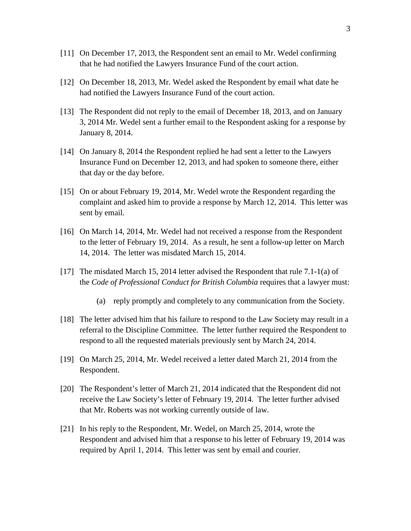- [11] On December 17, 2013, the Respondent sent an email to Mr. Wedel confirming that he had notified the Lawyers Insurance Fund of the court action.
- [12] On December 18, 2013, Mr. Wedel asked the Respondent by email what date he had notified the Lawyers Insurance Fund of the court action.
- [13] The Respondent did not reply to the email of December 18, 2013, and on January 3, 2014 Mr. Wedel sent a further email to the Respondent asking for a response by January 8, 2014.
- [14] On January 8, 2014 the Respondent replied he had sent a letter to the Lawyers Insurance Fund on December 12, 2013, and had spoken to someone there, either that day or the day before.
- [15] On or about February 19, 2014, Mr. Wedel wrote the Respondent regarding the complaint and asked him to provide a response by March 12, 2014. This letter was sent by email.
- [16] On March 14, 2014, Mr. Wedel had not received a response from the Respondent to the letter of February 19, 2014. As a result, he sent a follow-up letter on March 14, 2014. The letter was misdated March 15, 2014.
- [17] The misdated March 15, 2014 letter advised the Respondent that rule 7.1-1(a) of the *Code of Professional Conduct for British Columbia* requires that a lawyer must:
	- (a) reply promptly and completely to any communication from the Society.
- [18] The letter advised him that his failure to respond to the Law Society may result in a referral to the Discipline Committee. The letter further required the Respondent to respond to all the requested materials previously sent by March 24, 2014.
- [19] On March 25, 2014, Mr. Wedel received a letter dated March 21, 2014 from the Respondent.
- [20] The Respondent's letter of March 21, 2014 indicated that the Respondent did not receive the Law Society's letter of February 19, 2014. The letter further advised that Mr. Roberts was not working currently outside of law.
- [21] In his reply to the Respondent, Mr. Wedel, on March 25, 2014, wrote the Respondent and advised him that a response to his letter of February 19, 2014 was required by April 1, 2014. This letter was sent by email and courier.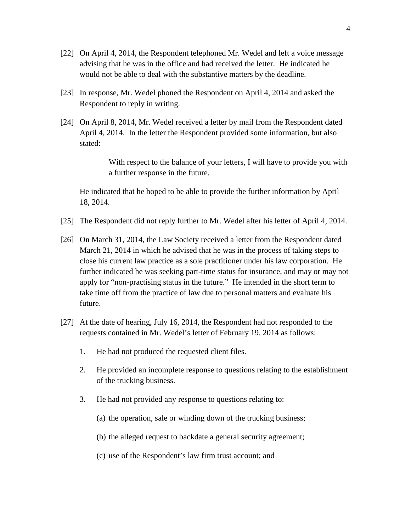- [22] On April 4, 2014, the Respondent telephoned Mr. Wedel and left a voice message advising that he was in the office and had received the letter. He indicated he would not be able to deal with the substantive matters by the deadline.
- [23] In response, Mr. Wedel phoned the Respondent on April 4, 2014 and asked the Respondent to reply in writing.
- [24] On April 8, 2014, Mr. Wedel received a letter by mail from the Respondent dated April 4, 2014. In the letter the Respondent provided some information, but also stated:

With respect to the balance of your letters, I will have to provide you with a further response in the future.

He indicated that he hoped to be able to provide the further information by April 18, 2014.

- [25] The Respondent did not reply further to Mr. Wedel after his letter of April 4, 2014.
- [26] On March 31, 2014, the Law Society received a letter from the Respondent dated March 21, 2014 in which he advised that he was in the process of taking steps to close his current law practice as a sole practitioner under his law corporation. He further indicated he was seeking part-time status for insurance, and may or may not apply for "non-practising status in the future." He intended in the short term to take time off from the practice of law due to personal matters and evaluate his future.
- [27] At the date of hearing, July 16, 2014, the Respondent had not responded to the requests contained in Mr. Wedel's letter of February 19, 2014 as follows:
	- 1. He had not produced the requested client files.
	- 2. He provided an incomplete response to questions relating to the establishment of the trucking business.
	- 3. He had not provided any response to questions relating to:
		- (a) the operation, sale or winding down of the trucking business;
		- (b) the alleged request to backdate a general security agreement;
		- (c) use of the Respondent's law firm trust account; and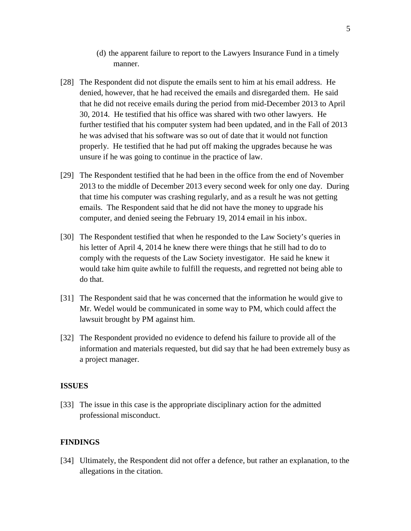- (d) the apparent failure to report to the Lawyers Insurance Fund in a timely manner.
- [28] The Respondent did not dispute the emails sent to him at his email address. He denied, however, that he had received the emails and disregarded them. He said that he did not receive emails during the period from mid-December 2013 to April 30, 2014. He testified that his office was shared with two other lawyers. He further testified that his computer system had been updated, and in the Fall of 2013 he was advised that his software was so out of date that it would not function properly. He testified that he had put off making the upgrades because he was unsure if he was going to continue in the practice of law.
- [29] The Respondent testified that he had been in the office from the end of November 2013 to the middle of December 2013 every second week for only one day. During that time his computer was crashing regularly, and as a result he was not getting emails. The Respondent said that he did not have the money to upgrade his computer, and denied seeing the February 19, 2014 email in his inbox.
- [30] The Respondent testified that when he responded to the Law Society's queries in his letter of April 4, 2014 he knew there were things that he still had to do to comply with the requests of the Law Society investigator. He said he knew it would take him quite awhile to fulfill the requests, and regretted not being able to do that.
- [31] The Respondent said that he was concerned that the information he would give to Mr. Wedel would be communicated in some way to PM, which could affect the lawsuit brought by PM against him.
- [32] The Respondent provided no evidence to defend his failure to provide all of the information and materials requested, but did say that he had been extremely busy as a project manager.

#### **ISSUES**

[33] The issue in this case is the appropriate disciplinary action for the admitted professional misconduct.

## **FINDINGS**

[34] Ultimately, the Respondent did not offer a defence, but rather an explanation, to the allegations in the citation.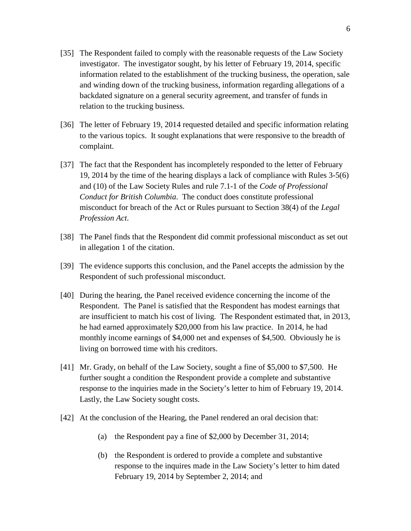- [35] The Respondent failed to comply with the reasonable requests of the Law Society investigator. The investigator sought, by his letter of February 19, 2014, specific information related to the establishment of the trucking business, the operation, sale and winding down of the trucking business, information regarding allegations of a backdated signature on a general security agreement, and transfer of funds in relation to the trucking business.
- [36] The letter of February 19, 2014 requested detailed and specific information relating to the various topics. It sought explanations that were responsive to the breadth of complaint.
- [37] The fact that the Respondent has incompletely responded to the letter of February 19, 2014 by the time of the hearing displays a lack of compliance with Rules 3-5(6) and (10) of the Law Society Rules and rule 7.1-1 of the *Code of Professional Conduct for British Columbia*. The conduct does constitute professional misconduct for breach of the Act or Rules pursuant to Section 38(4) of the *Legal Profession Act*.
- [38] The Panel finds that the Respondent did commit professional misconduct as set out in allegation 1 of the citation.
- [39] The evidence supports this conclusion, and the Panel accepts the admission by the Respondent of such professional misconduct.
- [40] During the hearing, the Panel received evidence concerning the income of the Respondent. The Panel is satisfied that the Respondent has modest earnings that are insufficient to match his cost of living. The Respondent estimated that, in 2013, he had earned approximately \$20,000 from his law practice. In 2014, he had monthly income earnings of \$4,000 net and expenses of \$4,500. Obviously he is living on borrowed time with his creditors.
- [41] Mr. Grady, on behalf of the Law Society, sought a fine of \$5,000 to \$7,500. He further sought a condition the Respondent provide a complete and substantive response to the inquiries made in the Society's letter to him of February 19, 2014. Lastly, the Law Society sought costs.
- [42] At the conclusion of the Hearing, the Panel rendered an oral decision that:
	- (a) the Respondent pay a fine of \$2,000 by December 31, 2014;
	- (b) the Respondent is ordered to provide a complete and substantive response to the inquires made in the Law Society's letter to him dated February 19, 2014 by September 2, 2014; and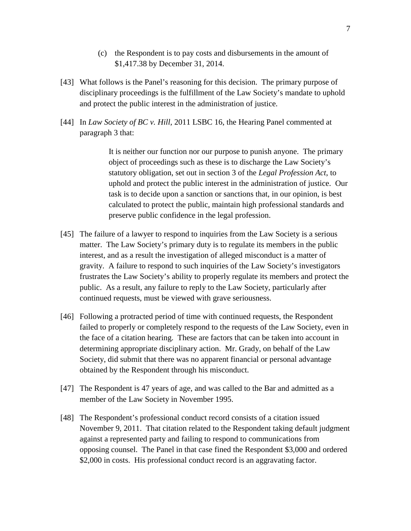- (c) the Respondent is to pay costs and disbursements in the amount of \$1,417.38 by December 31, 2014.
- [43] What follows is the Panel's reasoning for this decision. The primary purpose of disciplinary proceedings is the fulfillment of the Law Society's mandate to uphold and protect the public interest in the administration of justice.
- [44] In *Law Society of BC v. Hill*, 2011 LSBC 16, the Hearing Panel commented at paragraph 3 that:

It is neither our function nor our purpose to punish anyone. The primary object of proceedings such as these is to discharge the Law Society's statutory obligation, set out in section 3 of the *Legal Profession Act*, to uphold and protect the public interest in the administration of justice. Our task is to decide upon a sanction or sanctions that, in our opinion, is best calculated to protect the public, maintain high professional standards and preserve public confidence in the legal profession.

- [45] The failure of a lawyer to respond to inquiries from the Law Society is a serious matter. The Law Society's primary duty is to regulate its members in the public interest, and as a result the investigation of alleged misconduct is a matter of gravity. A failure to respond to such inquiries of the Law Society's investigators frustrates the Law Society's ability to properly regulate its members and protect the public. As a result, any failure to reply to the Law Society, particularly after continued requests, must be viewed with grave seriousness.
- [46] Following a protracted period of time with continued requests, the Respondent failed to properly or completely respond to the requests of the Law Society, even in the face of a citation hearing. These are factors that can be taken into account in determining appropriate disciplinary action. Mr. Grady, on behalf of the Law Society, did submit that there was no apparent financial or personal advantage obtained by the Respondent through his misconduct.
- [47] The Respondent is 47 years of age, and was called to the Bar and admitted as a member of the Law Society in November 1995.
- [48] The Respondent's professional conduct record consists of a citation issued November 9, 2011. That citation related to the Respondent taking default judgment against a represented party and failing to respond to communications from opposing counsel. The Panel in that case fined the Respondent \$3,000 and ordered \$2,000 in costs. His professional conduct record is an aggravating factor.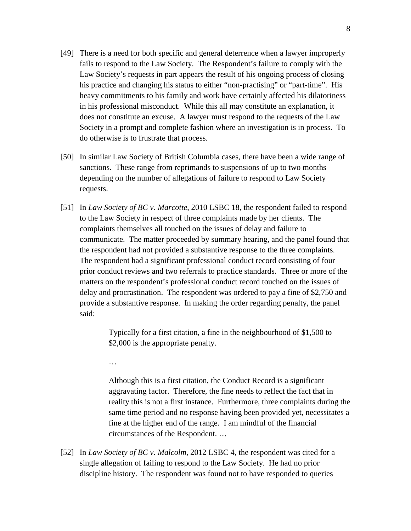- [49] There is a need for both specific and general deterrence when a lawyer improperly fails to respond to the Law Society. The Respondent's failure to comply with the Law Society's requests in part appears the result of his ongoing process of closing his practice and changing his status to either "non-practising" or "part-time". His heavy commitments to his family and work have certainly affected his dilatoriness in his professional misconduct. While this all may constitute an explanation, it does not constitute an excuse. A lawyer must respond to the requests of the Law Society in a prompt and complete fashion where an investigation is in process. To do otherwise is to frustrate that process.
- [50] In similar Law Society of British Columbia cases, there have been a wide range of sanctions. These range from reprimands to suspensions of up to two months depending on the number of allegations of failure to respond to Law Society requests.
- [51] In *Law Society of BC v. Marcotte*, 2010 LSBC 18, the respondent failed to respond to the Law Society in respect of three complaints made by her clients. The complaints themselves all touched on the issues of delay and failure to communicate. The matter proceeded by summary hearing, and the panel found that the respondent had not provided a substantive response to the three complaints. The respondent had a significant professional conduct record consisting of four prior conduct reviews and two referrals to practice standards. Three or more of the matters on the respondent's professional conduct record touched on the issues of delay and procrastination. The respondent was ordered to pay a fine of \$2,750 and provide a substantive response. In making the order regarding penalty, the panel said:

Typically for a first citation, a fine in the neighbourhood of \$1,500 to \$2,000 is the appropriate penalty.

Although this is a first citation, the Conduct Record is a significant aggravating factor. Therefore, the fine needs to reflect the fact that in reality this is not a first instance. Furthermore, three complaints during the same time period and no response having been provided yet, necessitates a fine at the higher end of the range. I am mindful of the financial circumstances of the Respondent. …

[52] In *Law Society of BC v. Malcolm*, 2012 LSBC 4, the respondent was cited for a single allegation of failing to respond to the Law Society. He had no prior discipline history. The respondent was found not to have responded to queries

…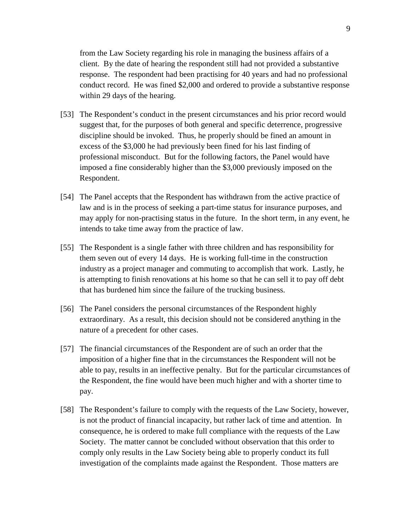from the Law Society regarding his role in managing the business affairs of a client. By the date of hearing the respondent still had not provided a substantive response. The respondent had been practising for 40 years and had no professional conduct record. He was fined \$2,000 and ordered to provide a substantive response within 29 days of the hearing.

- [53] The Respondent's conduct in the present circumstances and his prior record would suggest that, for the purposes of both general and specific deterrence, progressive discipline should be invoked. Thus, he properly should be fined an amount in excess of the \$3,000 he had previously been fined for his last finding of professional misconduct. But for the following factors, the Panel would have imposed a fine considerably higher than the \$3,000 previously imposed on the Respondent.
- [54] The Panel accepts that the Respondent has withdrawn from the active practice of law and is in the process of seeking a part-time status for insurance purposes, and may apply for non-practising status in the future. In the short term, in any event, he intends to take time away from the practice of law.
- [55] The Respondent is a single father with three children and has responsibility for them seven out of every 14 days. He is working full-time in the construction industry as a project manager and commuting to accomplish that work. Lastly, he is attempting to finish renovations at his home so that he can sell it to pay off debt that has burdened him since the failure of the trucking business.
- [56] The Panel considers the personal circumstances of the Respondent highly extraordinary. As a result, this decision should not be considered anything in the nature of a precedent for other cases.
- [57] The financial circumstances of the Respondent are of such an order that the imposition of a higher fine that in the circumstances the Respondent will not be able to pay, results in an ineffective penalty. But for the particular circumstances of the Respondent, the fine would have been much higher and with a shorter time to pay.
- [58] The Respondent's failure to comply with the requests of the Law Society, however, is not the product of financial incapacity, but rather lack of time and attention. In consequence, he is ordered to make full compliance with the requests of the Law Society. The matter cannot be concluded without observation that this order to comply only results in the Law Society being able to properly conduct its full investigation of the complaints made against the Respondent. Those matters are